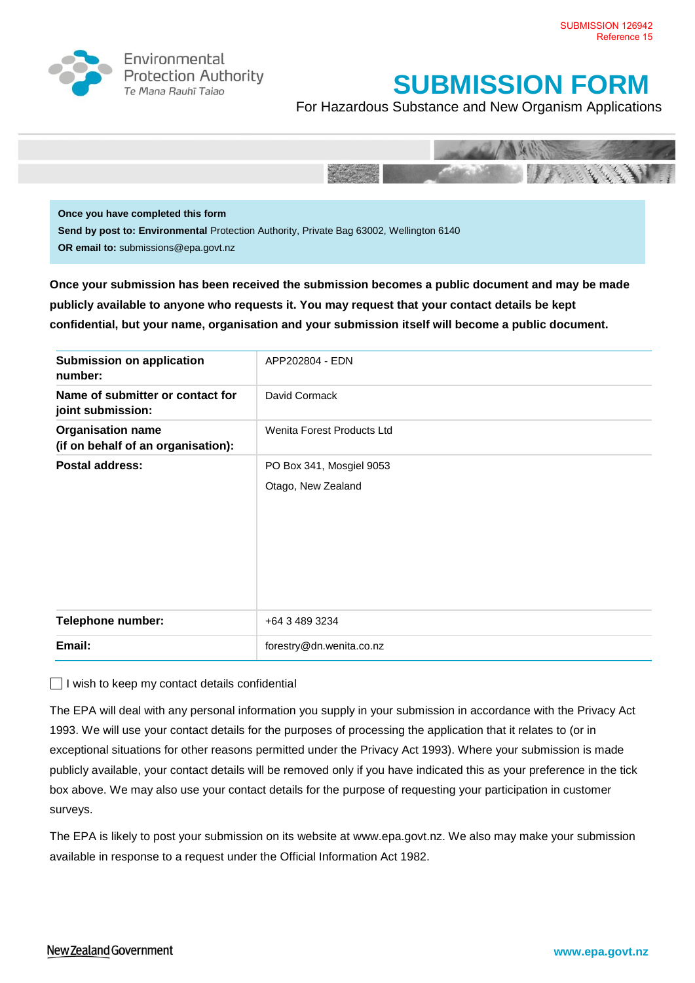

Environmental **Protection Authority** Te Mana Rauhī Tajao

## **SUBMISSION FORM**

For Hazardous Substance and New Organism Applications



**Once you have completed this form Send by post to: Environmental** Protection Authority, Private Bag 63002, Wellington 6140 **OR email to:** submissions@epa.govt.nz

**Once your submission has been received the submission becomes a public document and may be made publicly available to anyone who requests it. You may request that your contact details be kept confidential, but your name, organisation and your submission itself will become a public document.** 

| Submission on application<br>number:                           | APP202804 - EDN            |
|----------------------------------------------------------------|----------------------------|
| Name of submitter or contact for<br>joint submission:          | David Cormack              |
| <b>Organisation name</b><br>(if on behalf of an organisation): | Wenita Forest Products Ltd |
| Postal address:                                                | PO Box 341, Mosgiel 9053   |
|                                                                | Otago, New Zealand         |
| <b>Telephone number:</b>                                       | +64 3 489 3234             |
| Email:                                                         | forestry@dn.wenita.co.nz   |

 $\Box$  I wish to keep my contact details confidential

The EPA will deal with any personal information you supply in your submission in accordance with the Privacy Act 1993. We will use your contact details for the purposes of processing the application that it relates to (or in exceptional situations for other reasons permitted under the Privacy Act 1993). Where your submission is made publicly available, your contact details will be removed only if you have indicated this as your preference in the tick box above. We may also use your contact details for the purpose of requesting your participation in customer surveys.

The EPA is likely to post your submission on its website at [www.epa.govt.nz.](http://www.ermanz.govt.nz/) We also may make your submission available in response to a request under the Official Information Act 1982.